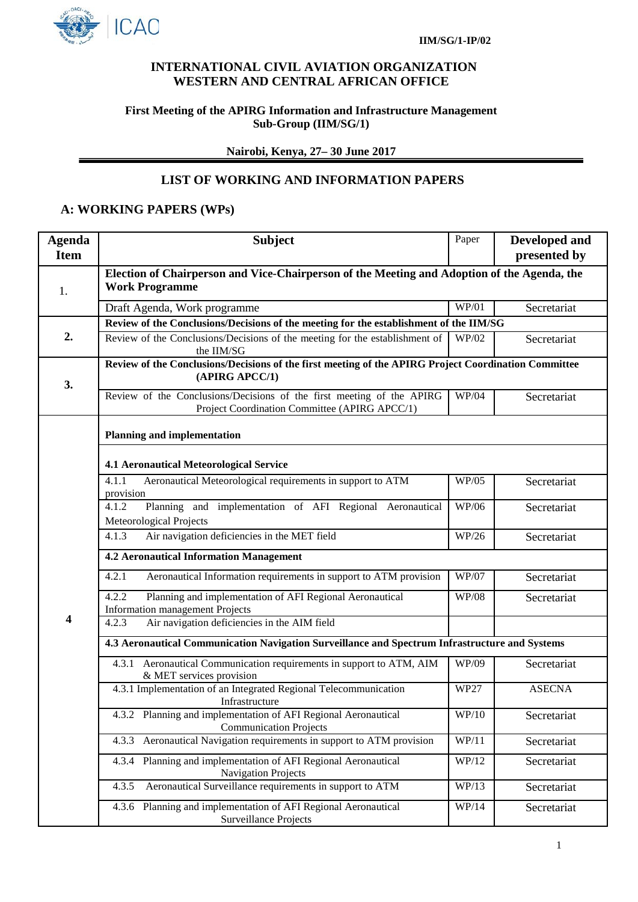

## **INTERNATIONAL CIVIL AVIATION ORGANIZATION WESTERN AND CENTRAL AFRICAN OFFICE**

### **First Meeting of the APIRG Information and Infrastructure Management Sub-Group (IIM/SG/1)**

**Nairobi, Kenya, 27– 30 June 2017**

## **LIST OF WORKING AND INFORMATION PAPERS**

# **A: WORKING PAPERS (WPs)**

| <b>Agenda</b> | <b>Subject</b>                                                                                                         | Paper        | <b>Developed and</b> |  |  |  |
|---------------|------------------------------------------------------------------------------------------------------------------------|--------------|----------------------|--|--|--|
| <b>Item</b>   |                                                                                                                        |              | presented by         |  |  |  |
| 1.            | Election of Chairperson and Vice-Chairperson of the Meeting and Adoption of the Agenda, the<br><b>Work Programme</b>   |              |                      |  |  |  |
|               | Draft Agenda, Work programme                                                                                           | WP/01        | Secretariat          |  |  |  |
|               | Review of the Conclusions/Decisions of the meeting for the establishment of the IIM/SG                                 |              |                      |  |  |  |
| 2.            | Review of the Conclusions/Decisions of the meeting for the establishment of<br>the IIM/SG                              | WP/02        | Secretariat          |  |  |  |
| 3.            | Review of the Conclusions/Decisions of the first meeting of the APIRG Project Coordination Committee<br>(APIRG APCC/1) |              |                      |  |  |  |
|               | Review of the Conclusions/Decisions of the first meeting of the APIRG<br>Project Coordination Committee (APIRG APCC/1) | WP/04        | Secretariat          |  |  |  |
|               | <b>Planning and implementation</b>                                                                                     |              |                      |  |  |  |
|               | <b>4.1 Aeronautical Meteorological Service</b>                                                                         |              |                      |  |  |  |
|               | Aeronautical Meteorological requirements in support to ATM<br>4.1.1<br>provision                                       | WP/05        | Secretariat          |  |  |  |
|               | Planning and implementation of AFI Regional Aeronautical<br>4.1.2<br>Meteorological Projects                           | WP/06        | Secretariat          |  |  |  |
|               | Air navigation deficiencies in the MET field<br>4.1.3                                                                  | WP/26        | Secretariat          |  |  |  |
|               | <b>4.2 Aeronautical Information Management</b>                                                                         |              |                      |  |  |  |
|               | 4.2.1<br>Aeronautical Information requirements in support to ATM provision                                             | WP/07        | Secretariat          |  |  |  |
|               | 4.2.2<br>Planning and implementation of AFI Regional Aeronautical<br>Information management Projects                   | <b>WP/08</b> | Secretariat          |  |  |  |
| 4             | Air navigation deficiencies in the AIM field<br>4.2.3                                                                  |              |                      |  |  |  |
|               | 4.3 Aeronautical Communication Navigation Surveillance and Spectrum Infrastructure and Systems                         |              |                      |  |  |  |
|               | 4.3.1 Aeronautical Communication requirements in support to ATM, AIM<br>& MET services provision                       | WP/09        | Secretariat          |  |  |  |
|               | 4.3.1 Implementation of an Integrated Regional Telecommunication<br>Infrastructure                                     | <b>WP27</b>  | <b>ASECNA</b>        |  |  |  |
|               | 4.3.2 Planning and implementation of AFI Regional Aeronautical<br><b>Communication Projects</b>                        | WP/10        | Secretariat          |  |  |  |
|               | 4.3.3 Aeronautical Navigation requirements in support to ATM provision                                                 | WP/11        | Secretariat          |  |  |  |
|               | 4.3.4 Planning and implementation of AFI Regional Aeronautical<br>Navigation Projects                                  | WP/12        | Secretariat          |  |  |  |
|               | Aeronautical Surveillance requirements in support to ATM<br>4.3.5                                                      | WP/13        | Secretariat          |  |  |  |
|               | 4.3.6 Planning and implementation of AFI Regional Aeronautical<br>Surveillance Projects                                | WP/14        | Secretariat          |  |  |  |